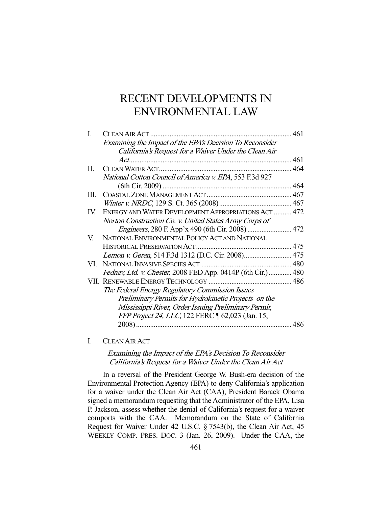# RECENT DEVELOPMENTS IN ENVIRONMENTAL LAW

| I.  | CLEAN AIR ACT                                                | 461 |
|-----|--------------------------------------------------------------|-----|
|     | Examining the Impact of the EPA's Decision To Reconsider     |     |
|     | California's Request for a Waiver Under the Clean Air        |     |
|     |                                                              |     |
| П.  |                                                              |     |
|     | National Cotton Council of America v. EPA, 553 F.3d 927      |     |
|     |                                                              |     |
| Ш.  |                                                              |     |
|     |                                                              |     |
| IV. | ENERGY AND WATER DEVELOPMENT APPROPRIATIONS ACT  472         |     |
|     | Norton Construction Co. v. United States Army Corps of       |     |
|     |                                                              |     |
| V.  | NATIONAL ENVIRONMENTAL POLICY ACT AND NATIONAL               |     |
|     |                                                              |     |
|     |                                                              |     |
|     |                                                              |     |
|     | Fednav, Ltd. v. Chester, 2008 FED App. 0414P (6th Cir.)  480 |     |
|     |                                                              |     |
|     | The Federal Energy Regulatory Commission Issues              |     |
|     | Preliminary Permits for Hydrokinetic Projects on the         |     |
|     | Mississippi River, Order Issuing Preliminary Permit,         |     |
|     | FFP Project 24, LLC, 122 FERC 162,023 (Jan. 15,              |     |
|     |                                                              | 486 |
|     |                                                              |     |

I. CLEAN AIR ACT

# Examining the Impact of the EPA's Decision To Reconsider California's Request for a Waiver Under the Clean Air Act

 In a reversal of the President George W. Bush-era decision of the Environmental Protection Agency (EPA) to deny California's application for a waiver under the Clean Air Act (CAA), President Barack Obama signed a memorandum requesting that the Administrator of the EPA, Lisa P. Jackson, assess whether the denial of California's request for a waiver comports with the CAA. Memorandum on the State of California Request for Waiver Under 42 U.S.C. § 7543(b), the Clean Air Act, 45 WEEKLY COMP. PRES. DOC. 3 (Jan. 26, 2009). Under the CAA, the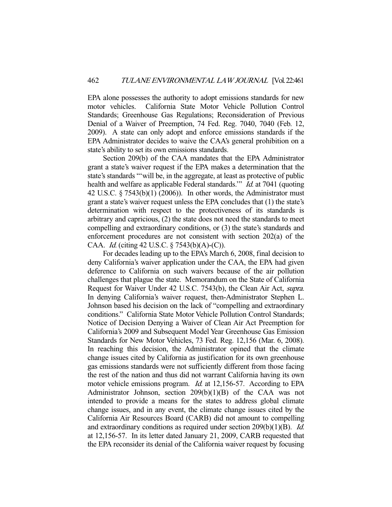EPA alone possesses the authority to adopt emissions standards for new motor vehicles. California State Motor Vehicle Pollution Control Standards; Greenhouse Gas Regulations; Reconsideration of Previous Denial of a Waiver of Preemption, 74 Fed. Reg. 7040, 7040 (Feb. 12, 2009). A state can only adopt and enforce emissions standards if the EPA Administrator decides to waive the CAA's general prohibition on a state's ability to set its own emissions standards.

 Section 209(b) of the CAA mandates that the EPA Administrator grant a state's waiver request if the EPA makes a determination that the state's standards "'will be, in the aggregate, at least as protective of public health and welfare as applicable Federal standards." *Id.* at 7041 (quoting 42 U.S.C.  $\S 7543(b)(1)$  (2006)). In other words, the Administrator must grant a state's waiver request unless the EPA concludes that (1) the state's determination with respect to the protectiveness of its standards is arbitrary and capricious, (2) the state does not need the standards to meet compelling and extraordinary conditions, or (3) the state's standards and enforcement procedures are not consistent with section 202(a) of the CAA. Id. (citing 42 U.S.C. § 7543(b)(A)-(C)).

 For decades leading up to the EPA's March 6, 2008, final decision to deny California's waiver application under the CAA, the EPA had given deference to California on such waivers because of the air pollution challenges that plague the state. Memorandum on the State of California Request for Waiver Under 42 U.S.C. 7543(b), the Clean Air Act, supra. In denying California's waiver request, then-Administrator Stephen L. Johnson based his decision on the lack of "compelling and extraordinary conditions." California State Motor Vehicle Pollution Control Standards; Notice of Decision Denying a Waiver of Clean Air Act Preemption for California's 2009 and Subsequent Model Year Greenhouse Gas Emission Standards for New Motor Vehicles, 73 Fed. Reg. 12,156 (Mar. 6, 2008). In reaching this decision, the Administrator opined that the climate change issues cited by California as justification for its own greenhouse gas emissions standards were not sufficiently different from those facing the rest of the nation and thus did not warrant California having its own motor vehicle emissions program. *Id.* at 12,156-57. According to EPA Administrator Johnson, section 209(b)(1)(B) of the CAA was not intended to provide a means for the states to address global climate change issues, and in any event, the climate change issues cited by the California Air Resources Board (CARB) did not amount to compelling and extraordinary conditions as required under section 209(b)(1)(B). Id. at 12,156-57. In its letter dated January 21, 2009, CARB requested that the EPA reconsider its denial of the California waiver request by focusing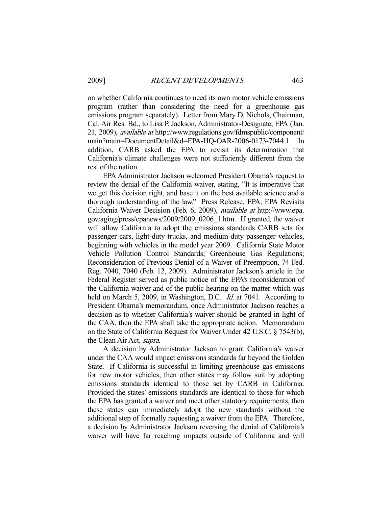on whether California continues to need its own motor vehicle emissions program (rather than considering the need for a greenhouse gas emissions program separately). Letter from Mary D. Nichols, Chairman, Cal. Air Res. Bd., to Lisa P. Jackson, Administrator-Designate, EPA (Jan. 21, 2009), available at http://www.regulations.gov/fdmspublic/component/ main?main=DocumentDetail&d=EPA-HQ-OAR-2006-0173-7044.1. In addition, CARB asked the EPA to revisit its determination that California's climate challenges were not sufficiently different from the rest of the nation.

 EPA Administrator Jackson welcomed President Obama's request to review the denial of the California waiver, stating, "It is imperative that we get this decision right, and base it on the best available science and a thorough understanding of the law." Press Release, EPA, EPA Revisits California Waiver Decision (Feb. 6, 2009), available at http://www.epa. gov/aging/press/epanews/2009/2009\_0206\_1.htm. If granted, the waiver will allow California to adopt the emissions standards CARB sets for passenger cars, light-duty trucks, and medium-duty passenger vehicles, beginning with vehicles in the model year 2009. California State Motor Vehicle Pollution Control Standards; Greenhouse Gas Regulations; Reconsideration of Previous Denial of a Waiver of Preemption, 74 Fed. Reg. 7040, 7040 (Feb. 12, 2009). Administrator Jackson's article in the Federal Register served as public notice of the EPA's reconsideration of the California waiver and of the public hearing on the matter which was held on March 5, 2009, in Washington, D.C. *Id.* at 7041. According to President Obama's memorandum, once Administrator Jackson reaches a decision as to whether California's waiver should be granted in light of the CAA, then the EPA shall take the appropriate action. Memorandum on the State of California Request for Waiver Under 42 U.S.C. § 7543(b), the Clean Air Act, supra.

 A decision by Administrator Jackson to grant California's waiver under the CAA would impact emissions standards far beyond the Golden State. If California is successful in limiting greenhouse gas emissions for new motor vehicles, then other states may follow suit by adopting emissions standards identical to those set by CARB in California. Provided the states' emissions standards are identical to those for which the EPA has granted a waiver and meet other statutory requirements, then these states can immediately adopt the new standards without the additional step of formally requesting a waiver from the EPA. Therefore, a decision by Administrator Jackson reversing the denial of California's waiver will have far reaching impacts outside of California and will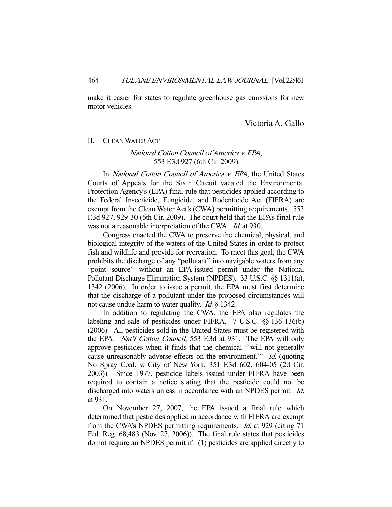make it easier for states to regulate greenhouse gas emissions for new motor vehicles.

Victoria A. Gallo

#### II. CLEAN WATER ACT

## National Cotton Council of America v. EPA, 553 F.3d 927 (6th Cir. 2009)

In *National Cotton Council of America v. EPA*, the United States Courts of Appeals for the Sixth Circuit vacated the Environmental Protection Agency's (EPA) final rule that pesticides applied according to the Federal Insecticide, Fungicide, and Rodenticide Act (FIFRA) are exempt from the Clean Water Act's (CWA) permitting requirements. 553 F.3d 927, 929-30 (6th Cir. 2009). The court held that the EPA's final rule was not a reasonable interpretation of the CWA. *Id.* at 930.

 Congress enacted the CWA to preserve the chemical, physical, and biological integrity of the waters of the United States in order to protect fish and wildlife and provide for recreation. To meet this goal, the CWA prohibits the discharge of any "pollutant" into navigable waters from any "point source" without an EPA-issued permit under the National Pollutant Discharge Elimination System (NPDES). 33 U.S.C. §§ 1311(a), 1342 (2006). In order to issue a permit, the EPA must first determine that the discharge of a pollutant under the proposed circumstances will not cause undue harm to water quality. *Id.* § 1342.

 In addition to regulating the CWA, the EPA also regulates the labeling and sale of pesticides under FIFRA. 7 U.S.C. §§ 136-136(b) (2006). All pesticides sold in the United States must be registered with the EPA. Nat'l Cotton Council, 553 F.3d at 931. The EPA will only approve pesticides when it finds that the chemical "'will not generally cause unreasonably adverse effects on the environment." Id. (quoting No Spray Coal. v. City of New York, 351 F.3d 602, 604-05 (2d Cir. 2003)). Since 1977, pesticide labels issued under FIFRA have been required to contain a notice stating that the pesticide could not be discharged into waters unless in accordance with an NPDES permit. *Id.* at 931.

 On November 27, 2007, the EPA issued a final rule which determined that pesticides applied in accordance with FIFRA are exempt from the CWA's NPDES permitting requirements. Id. at 929 (citing 71 Fed. Reg. 68,483 (Nov. 27, 2006)). The final rule states that pesticides do not require an NPDES permit if: (1) pesticides are applied directly to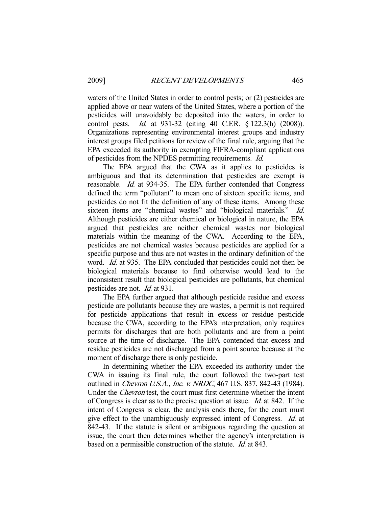waters of the United States in order to control pests; or (2) pesticides are applied above or near waters of the United States, where a portion of the pesticides will unavoidably be deposited into the waters, in order to control pests. Id. at 931-32 (citing 40 C.F.R. § 122.3(h) (2008)). Organizations representing environmental interest groups and industry interest groups filed petitions for review of the final rule, arguing that the EPA exceeded its authority in exempting FIFRA-compliant applications of pesticides from the NPDES permitting requirements. Id.

 The EPA argued that the CWA as it applies to pesticides is ambiguous and that its determination that pesticides are exempt is reasonable. Id. at 934-35. The EPA further contended that Congress defined the term "pollutant" to mean one of sixteen specific items, and pesticides do not fit the definition of any of these items. Among these sixteen items are "chemical wastes" and "biological materials." Id. Although pesticides are either chemical or biological in nature, the EPA argued that pesticides are neither chemical wastes nor biological materials within the meaning of the CWA. According to the EPA, pesticides are not chemical wastes because pesticides are applied for a specific purpose and thus are not wastes in the ordinary definition of the word. *Id.* at 935. The EPA concluded that pesticides could not then be biological materials because to find otherwise would lead to the inconsistent result that biological pesticides are pollutants, but chemical pesticides are not. Id. at 931.

 The EPA further argued that although pesticide residue and excess pesticide are pollutants because they are wastes, a permit is not required for pesticide applications that result in excess or residue pesticide because the CWA, according to the EPA's interpretation, only requires permits for discharges that are both pollutants and are from a point source at the time of discharge. The EPA contended that excess and residue pesticides are not discharged from a point source because at the moment of discharge there is only pesticide.

 In determining whether the EPA exceeded its authority under the CWA in issuing its final rule, the court followed the two-part test outlined in Chevron U.S.A., Inc. v. NRDC, 467 U.S. 837, 842-43 (1984). Under the *Chevron* test, the court must first determine whether the intent of Congress is clear as to the precise question at issue. Id. at 842. If the intent of Congress is clear, the analysis ends there, for the court must give effect to the unambiguously expressed intent of Congress. Id. at 842-43. If the statute is silent or ambiguous regarding the question at issue, the court then determines whether the agency's interpretation is based on a permissible construction of the statute. *Id.* at 843.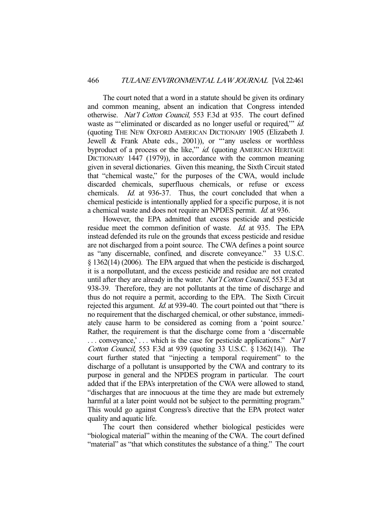The court noted that a word in a statute should be given its ordinary and common meaning, absent an indication that Congress intended otherwise. Nat'l Cotton Council, 553 F.3d at 935. The court defined waste as "'eliminated or discarded as no longer useful or required," *id.* (quoting THE NEW OXFORD AMERICAN DICTIONARY 1905 (Elizabeth J. Jewell & Frank Abate eds., 2001)), or "'any useless or worthless byproduct of a process or the like," *id.* (quoting AMERICAN HERITAGE DICTIONARY 1447 (1979)), in accordance with the common meaning given in several dictionaries. Given this meaning, the Sixth Circuit stated that "chemical waste," for the purposes of the CWA, would include discarded chemicals, superfluous chemicals, or refuse or excess chemicals. Id. at 936-37. Thus, the court concluded that when a chemical pesticide is intentionally applied for a specific purpose, it is not a chemical waste and does not require an NPDES permit. Id. at 936.

 However, the EPA admitted that excess pesticide and pesticide residue meet the common definition of waste. Id. at 935. The EPA instead defended its rule on the grounds that excess pesticide and residue are not discharged from a point source. The CWA defines a point source as "any discernable, confined, and discrete conveyance." 33 U.S.C. § 1362(14) (2006). The EPA argued that when the pesticide is discharged, it is a nonpollutant, and the excess pesticide and residue are not created until after they are already in the water. Nat'l Cotton Council, 553 F.3d at 938-39. Therefore, they are not pollutants at the time of discharge and thus do not require a permit, according to the EPA. The Sixth Circuit rejected this argument. *Id.* at 939-40. The court pointed out that "there is no requirement that the discharged chemical, or other substance, immediately cause harm to be considered as coming from a 'point source.' Rather, the requirement is that the discharge come from a 'discernable ... conveyance,'... which is the case for pesticide applications." Nat'll Cotton Council, 553 F.3d at 939 (quoting 33 U.S.C. § 1362(14)). The court further stated that "injecting a temporal requirement" to the discharge of a pollutant is unsupported by the CWA and contrary to its purpose in general and the NPDES program in particular. The court added that if the EPA's interpretation of the CWA were allowed to stand, "discharges that are innocuous at the time they are made but extremely harmful at a later point would not be subject to the permitting program." This would go against Congress's directive that the EPA protect water quality and aquatic life.

 The court then considered whether biological pesticides were "biological material" within the meaning of the CWA. The court defined "material" as "that which constitutes the substance of a thing." The court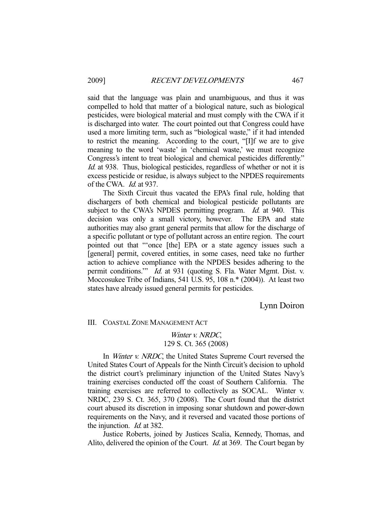said that the language was plain and unambiguous, and thus it was compelled to hold that matter of a biological nature, such as biological pesticides, were biological material and must comply with the CWA if it is discharged into water. The court pointed out that Congress could have used a more limiting term, such as "biological waste," if it had intended to restrict the meaning. According to the court, "[I]f we are to give meaning to the word 'waste' in 'chemical waste,' we must recognize Congress's intent to treat biological and chemical pesticides differently." Id. at 938. Thus, biological pesticides, regardless of whether or not it is excess pesticide or residue, is always subject to the NPDES requirements of the CWA. Id. at 937.

 The Sixth Circuit thus vacated the EPA's final rule, holding that dischargers of both chemical and biological pesticide pollutants are subject to the CWA's NPDES permitting program. *Id.* at 940. This decision was only a small victory, however. The EPA and state authorities may also grant general permits that allow for the discharge of a specific pollutant or type of pollutant across an entire region. The court pointed out that "'once [the] EPA or a state agency issues such a [general] permit, covered entities, in some cases, need take no further action to achieve compliance with the NPDES besides adhering to the permit conditions." *Id.* at 931 (quoting S. Fla. Water Mgmt. Dist. v. Moccosukee Tribe of Indians, 541 U.S. 95, 108 n.\* (2004)). At least two states have already issued general permits for pesticides.

Lynn Doiron

III. COASTAL ZONE MANAGEMENT ACT

## Winter *v. NRDC*, 129 S. Ct. 365 (2008)

In *Winter v. NRDC*, the United States Supreme Court reversed the United States Court of Appeals for the Ninth Circuit's decision to uphold the district court's preliminary injunction of the United States Navy's training exercises conducted off the coast of Southern California. The training exercises are referred to collectively as SOCAL. Winter v. NRDC, 239 S. Ct. 365, 370 (2008). The Court found that the district court abused its discretion in imposing sonar shutdown and power-down requirements on the Navy, and it reversed and vacated those portions of the injunction. Id. at 382.

 Justice Roberts, joined by Justices Scalia, Kennedy, Thomas, and Alito, delivered the opinion of the Court. *Id.* at 369. The Court began by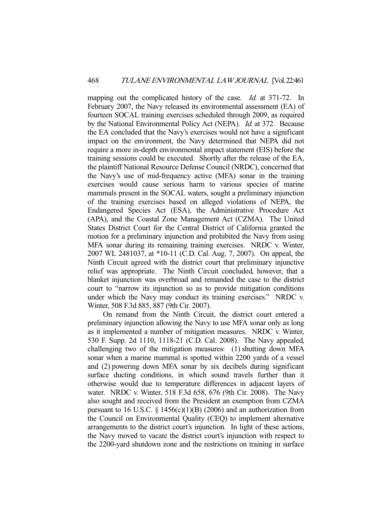mapping out the complicated history of the case. *Id.* at 371-72. In February 2007, the Navy released its environmental assessment (EA) of fourteen SOCAL training exercises scheduled through 2009, as required by the National Environmental Policy Act (NEPA). Id. at 372. Because the EA concluded that the Navy's exercises would not have a significant impact on the environment, the Navy determined that NEPA did not require a more in-depth environmental impact statement (EIS) before the training sessions could be executed. Shortly after the release of the EA, the plaintiff National Resource Defense Council (NRDC), concerned that the Navy's use of mid-frequency active (MFA) sonar in the training exercises would cause serious harm to various species of marine mammals present in the SOCAL waters, sought a preliminary injunction of the training exercises based on alleged violations of NEPA, the Endangered Species Act (ESA), the Administrative Procedure Act (APA), and the Coastal Zone Management Act (CZMA). The United States District Court for the Central District of California granted the motion for a preliminary injunction and prohibited the Navy from using MFA sonar during its remaining training exercises. NRDC v. Winter, 2007 WL 2481037, at \*10-11 (C.D. Cal. Aug. 7, 2007). On appeal, the Ninth Circuit agreed with the district court that preliminary injunctive relief was appropriate. The Ninth Circuit concluded, however, that a blanket injunction was overbroad and remanded the case to the district court to "narrow its injunction so as to provide mitigation conditions under which the Navy may conduct its training exercises." NRDC v. Winter, 508 F.3d 885, 887 (9th Cir. 2007).

 On remand from the Ninth Circuit, the district court entered a preliminary injunction allowing the Navy to use MFA sonar only as long as it implemented a number of mitigation measures. NRDC v. Winter, 530 F. Supp. 2d 1110, 1118-21 (C.D. Cal. 2008). The Navy appealed, challenging two of the mitigation measures: (1) shutting down MFA sonar when a marine mammal is spotted within 2200 yards of a vessel and (2) powering down MFA sonar by six decibels during significant surface ducting conditions, in which sound travels further than it otherwise would due to temperature differences in adjacent layers of water. NRDC v. Winter, 518 F.3d 658, 676 (9th Cir. 2008). The Navy also sought and received from the President an exemption from CZMA pursuant to 16 U.S.C.  $\S$  1456(c)(1)(B) (2006) and an authorization from the Council on Environmental Quality (CEQ) to implement alternative arrangements to the district court's injunction. In light of these actions, the Navy moved to vacate the district court's injunction with respect to the 2200-yard shutdown zone and the restrictions on training in surface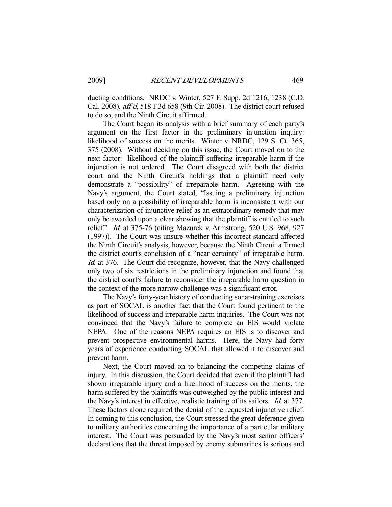ducting conditions. NRDC v. Winter, 527 F. Supp. 2d 1216, 1238 (C.D. Cal. 2008), aff'd, 518 F.3d 658 (9th Cir. 2008). The district court refused to do so, and the Ninth Circuit affirmed.

 The Court began its analysis with a brief summary of each party's argument on the first factor in the preliminary injunction inquiry: likelihood of success on the merits. Winter v. NRDC, 129 S. Ct. 365, 375 (2008). Without deciding on this issue, the Court moved on to the next factor: likelihood of the plaintiff suffering irreparable harm if the injunction is not ordered. The Court disagreed with both the district court and the Ninth Circuit's holdings that a plaintiff need only demonstrate a "possibility" of irreparable harm. Agreeing with the Navy's argument, the Court stated, "Issuing a preliminary injunction based only on a possibility of irreparable harm is inconsistent with our characterization of injunctive relief as an extraordinary remedy that may only be awarded upon a clear showing that the plaintiff is entitled to such relief." Id. at 375-76 (citing Mazurek v. Armstrong, 520 U.S. 968, 927 (1997)). The Court was unsure whether this incorrect standard affected the Ninth Circuit's analysis, however, because the Ninth Circuit affirmed the district court's conclusion of a "near certainty" of irreparable harm. Id. at 376. The Court did recognize, however, that the Navy challenged only two of six restrictions in the preliminary injunction and found that the district court's failure to reconsider the irreparable harm question in the context of the more narrow challenge was a significant error.

 The Navy's forty-year history of conducting sonar-training exercises as part of SOCAL is another fact that the Court found pertinent to the likelihood of success and irreparable harm inquiries. The Court was not convinced that the Navy's failure to complete an EIS would violate NEPA. One of the reasons NEPA requires an EIS is to discover and prevent prospective environmental harms. Here, the Navy had forty years of experience conducting SOCAL that allowed it to discover and prevent harm.

 Next, the Court moved on to balancing the competing claims of injury. In this discussion, the Court decided that even if the plaintiff had shown irreparable injury and a likelihood of success on the merits, the harm suffered by the plaintiffs was outweighed by the public interest and the Navy's interest in effective, realistic training of its sailors. Id. at 377. These factors alone required the denial of the requested injunctive relief. In coming to this conclusion, the Court stressed the great deference given to military authorities concerning the importance of a particular military interest. The Court was persuaded by the Navy's most senior officers' declarations that the threat imposed by enemy submarines is serious and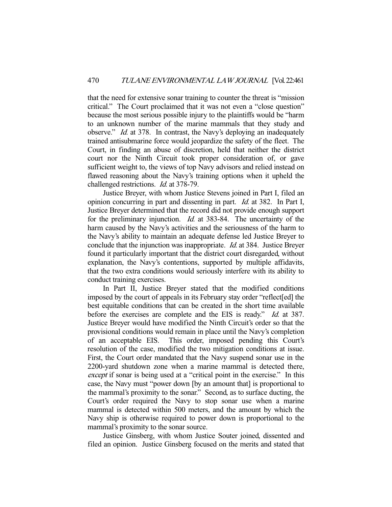that the need for extensive sonar training to counter the threat is "mission critical." The Court proclaimed that it was not even a "close question" because the most serious possible injury to the plaintiffs would be "harm to an unknown number of the marine mammals that they study and observe." Id. at 378. In contrast, the Navy's deploying an inadequately trained antisubmarine force would jeopardize the safety of the fleet. The Court, in finding an abuse of discretion, held that neither the district court nor the Ninth Circuit took proper consideration of, or gave sufficient weight to, the views of top Navy advisors and relied instead on flawed reasoning about the Navy's training options when it upheld the challenged restrictions. Id. at 378-79.

 Justice Breyer, with whom Justice Stevens joined in Part I, filed an opinion concurring in part and dissenting in part. Id. at 382. In Part I, Justice Breyer determined that the record did not provide enough support for the preliminary injunction. *Id.* at 383-84. The uncertainty of the harm caused by the Navy's activities and the seriousness of the harm to the Navy's ability to maintain an adequate defense led Justice Breyer to conclude that the injunction was inappropriate. Id. at 384. Justice Breyer found it particularly important that the district court disregarded, without explanation, the Navy's contentions, supported by multiple affidavits, that the two extra conditions would seriously interfere with its ability to conduct training exercises.

 In Part II, Justice Breyer stated that the modified conditions imposed by the court of appeals in its February stay order "reflect[ed] the best equitable conditions that can be created in the short time available before the exercises are complete and the EIS is ready." Id. at 387. Justice Breyer would have modified the Ninth Circuit's order so that the provisional conditions would remain in place until the Navy's completion of an acceptable EIS. This order, imposed pending this Court's resolution of the case, modified the two mitigation conditions at issue. First, the Court order mandated that the Navy suspend sonar use in the 2200-yard shutdown zone when a marine mammal is detected there, except if sonar is being used at a "critical point in the exercise." In this case, the Navy must "power down [by an amount that] is proportional to the mammal's proximity to the sonar." Second, as to surface ducting, the Court's order required the Navy to stop sonar use when a marine mammal is detected within 500 meters, and the amount by which the Navy ship is otherwise required to power down is proportional to the mammal's proximity to the sonar source.

 Justice Ginsberg, with whom Justice Souter joined, dissented and filed an opinion. Justice Ginsberg focused on the merits and stated that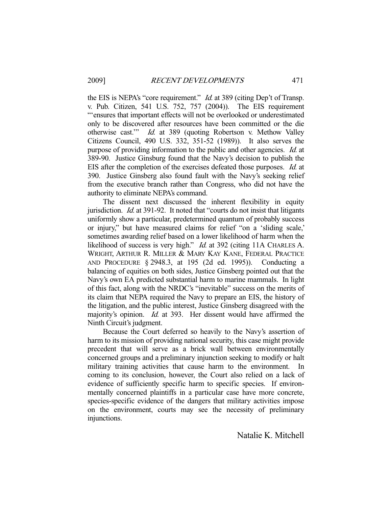the EIS is NEPA's "core requirement." *Id.* at 389 (citing Dep't of Transp. v. Pub. Citizen, 541 U.S. 752, 757 (2004)). The EIS requirement "'ensures that important effects will not be overlooked or underestimated only to be discovered after resources have been committed or the die otherwise cast.'" Id. at 389 (quoting Robertson v. Methow Valley Citizens Council, 490 U.S. 332, 351-52 (1989)). It also serves the purpose of providing information to the public and other agencies. Id. at 389-90. Justice Ginsburg found that the Navy's decision to publish the EIS after the completion of the exercises defeated those purposes. Id. at 390. Justice Ginsberg also found fault with the Navy's seeking relief from the executive branch rather than Congress, who did not have the authority to eliminate NEPA's command.

 The dissent next discussed the inherent flexibility in equity jurisdiction. Id. at 391-92. It noted that "courts do not insist that litigants uniformly show a particular, predetermined quantum of probably success or injury," but have measured claims for relief "on a 'sliding scale,' sometimes awarding relief based on a lower likelihood of harm when the likelihood of success is very high." *Id.* at 392 (citing 11A CHARLES A. WRIGHT, ARTHUR R. MILLER & MARY KAY KANE, FEDERAL PRACTICE AND PROCEDURE § 2948.3, at 195 (2d ed. 1995)). Conducting a balancing of equities on both sides, Justice Ginsberg pointed out that the Navy's own EA predicted substantial harm to marine mammals. In light of this fact, along with the NRDC's "inevitable" success on the merits of its claim that NEPA required the Navy to prepare an EIS, the history of the litigation, and the public interest, Justice Ginsberg disagreed with the majority's opinion. *Id.* at 393. Her dissent would have affirmed the Ninth Circuit's judgment.

 Because the Court deferred so heavily to the Navy's assertion of harm to its mission of providing national security, this case might provide precedent that will serve as a brick wall between environmentally concerned groups and a preliminary injunction seeking to modify or halt military training activities that cause harm to the environment. In coming to its conclusion, however, the Court also relied on a lack of evidence of sufficiently specific harm to specific species. If environmentally concerned plaintiffs in a particular case have more concrete, species-specific evidence of the dangers that military activities impose on the environment, courts may see the necessity of preliminary injunctions.

Natalie K. Mitchell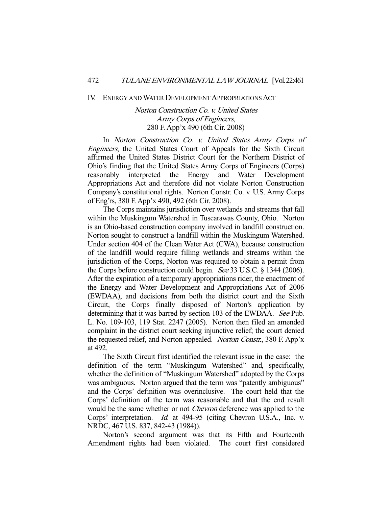#### IV. ENERGY AND WATER DEVELOPMENT APPROPRIATIONS ACT

# Norton Construction Co. v. United States Army Corps of Engineers, 280 F. App'x 490 (6th Cir. 2008)

 In Norton Construction Co. v. United States Army Corps of Engineers, the United States Court of Appeals for the Sixth Circuit affirmed the United States District Court for the Northern District of Ohio's finding that the United States Army Corps of Engineers (Corps) reasonably interpreted the Energy and Water Development Appropriations Act and therefore did not violate Norton Construction Company's constitutional rights. Norton Constr. Co. v. U.S. Army Corps of Eng'rs, 380 F. App'x 490, 492 (6th Cir. 2008).

 The Corps maintains jurisdiction over wetlands and streams that fall within the Muskingum Watershed in Tuscarawas County, Ohio. Norton is an Ohio-based construction company involved in landfill construction. Norton sought to construct a landfill within the Muskingum Watershed. Under section 404 of the Clean Water Act (CWA), because construction of the landfill would require filling wetlands and streams within the jurisdiction of the Corps, Norton was required to obtain a permit from the Corps before construction could begin. See 33 U.S.C. § 1344 (2006). After the expiration of a temporary appropriations rider, the enactment of the Energy and Water Development and Appropriations Act of 2006 (EWDAA), and decisions from both the district court and the Sixth Circuit, the Corps finally disposed of Norton's application by determining that it was barred by section 103 of the EWDAA. See Pub. L. No. 109-103, 119 Stat. 2247 (2005). Norton then filed an amended complaint in the district court seeking injunctive relief; the court denied the requested relief, and Norton appealed. Norton Constr., 380 F. App'x at 492.

 The Sixth Circuit first identified the relevant issue in the case: the definition of the term "Muskingum Watershed" and, specifically, whether the definition of "Muskingum Watershed" adopted by the Corps was ambiguous. Norton argued that the term was "patently ambiguous" and the Corps' definition was overinclusive. The court held that the Corps' definition of the term was reasonable and that the end result would be the same whether or not Chevron deference was applied to the Corps' interpretation. Id. at 494-95 (citing Chevron U.S.A., Inc. v. NRDC, 467 U.S. 837, 842-43 (1984)).

 Norton's second argument was that its Fifth and Fourteenth Amendment rights had been violated. The court first considered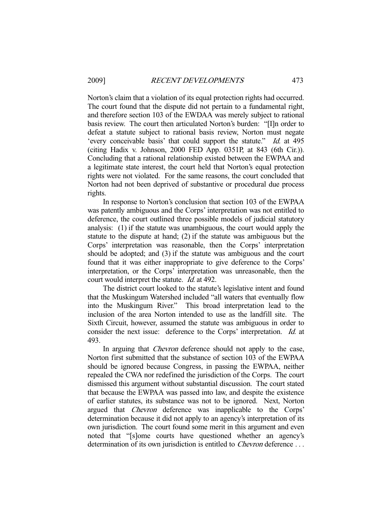Norton's claim that a violation of its equal protection rights had occurred. The court found that the dispute did not pertain to a fundamental right, and therefore section 103 of the EWDAA was merely subject to rational basis review. The court then articulated Norton's burden: "[I]n order to defeat a statute subject to rational basis review, Norton must negate 'every conceivable basis' that could support the statute." Id. at 495 (citing Hadix v. Johnson, 2000 FED App. 0351P, at 843 (6th Cir.)). Concluding that a rational relationship existed between the EWPAA and a legitimate state interest, the court held that Norton's equal protection rights were not violated. For the same reasons, the court concluded that Norton had not been deprived of substantive or procedural due process rights.

 In response to Norton's conclusion that section 103 of the EWPAA was patently ambiguous and the Corps' interpretation was not entitled to deference, the court outlined three possible models of judicial statutory analysis: (1) if the statute was unambiguous, the court would apply the statute to the dispute at hand; (2) if the statute was ambiguous but the Corps' interpretation was reasonable, then the Corps' interpretation should be adopted; and (3) if the statute was ambiguous and the court found that it was either inappropriate to give deference to the Corps' interpretation, or the Corps' interpretation was unreasonable, then the court would interpret the statute. *Id.* at 492.

 The district court looked to the statute's legislative intent and found that the Muskingum Watershed included "all waters that eventually flow into the Muskingum River." This broad interpretation lead to the inclusion of the area Norton intended to use as the landfill site. The Sixth Circuit, however, assumed the statute was ambiguous in order to consider the next issue: deference to the Corps' interpretation. *Id.* at 493.

In arguing that *Chevron* deference should not apply to the case, Norton first submitted that the substance of section 103 of the EWPAA should be ignored because Congress, in passing the EWPAA, neither repealed the CWA nor redefined the jurisdiction of the Corps. The court dismissed this argument without substantial discussion. The court stated that because the EWPAA was passed into law, and despite the existence of earlier statutes, its substance was not to be ignored. Next, Norton argued that Chevron deference was inapplicable to the Corps' determination because it did not apply to an agency's interpretation of its own jurisdiction. The court found some merit in this argument and even noted that "[s]ome courts have questioned whether an agency's determination of its own jurisdiction is entitled to *Chevron* deference ...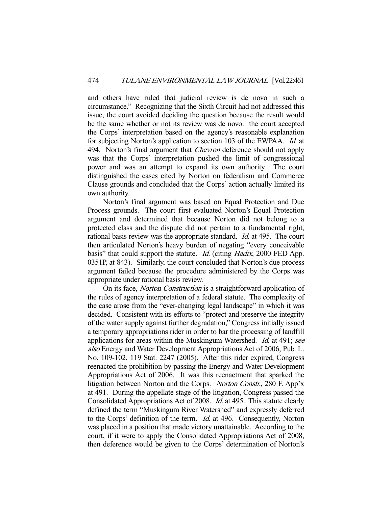and others have ruled that judicial review is de novo in such a circumstance." Recognizing that the Sixth Circuit had not addressed this issue, the court avoided deciding the question because the result would be the same whether or not its review was de novo: the court accepted the Corps' interpretation based on the agency's reasonable explanation for subjecting Norton's application to section 103 of the EWPAA. Id. at 494. Norton's final argument that *Chevron* deference should not apply was that the Corps' interpretation pushed the limit of congressional power and was an attempt to expand its own authority. The court distinguished the cases cited by Norton on federalism and Commerce Clause grounds and concluded that the Corps' action actually limited its own authority.

 Norton's final argument was based on Equal Protection and Due Process grounds. The court first evaluated Norton's Equal Protection argument and determined that because Norton did not belong to a protected class and the dispute did not pertain to a fundamental right, rational basis review was the appropriate standard. Id. at 495. The court then articulated Norton's heavy burden of negating "every conceivable basis" that could support the statute. Id. (citing Hadix, 2000 FED App. 0351P, at 843). Similarly, the court concluded that Norton's due process argument failed because the procedure administered by the Corps was appropriate under rational basis review.

 On its face, Norton Construction is a straightforward application of the rules of agency interpretation of a federal statute. The complexity of the case arose from the "ever-changing legal landscape" in which it was decided. Consistent with its efforts to "protect and preserve the integrity of the water supply against further degradation," Congress initially issued a temporary appropriations rider in order to bar the processing of landfill applications for areas within the Muskingum Watershed. *Id.* at 491; see also Energy and Water Development Appropriations Act of 2006, Pub. L. No. 109-102, 119 Stat. 2247 (2005). After this rider expired, Congress reenacted the prohibition by passing the Energy and Water Development Appropriations Act of 2006. It was this reenactment that sparked the litigation between Norton and the Corps. Norton Constr., 280 F. App'x at 491. During the appellate stage of the litigation, Congress passed the Consolidated Appropriations Act of 2008. Id. at 495. This statute clearly defined the term "Muskingum River Watershed" and expressly deferred to the Corps' definition of the term. Id. at 496. Consequently, Norton was placed in a position that made victory unattainable. According to the court, if it were to apply the Consolidated Appropriations Act of 2008, then deference would be given to the Corps' determination of Norton's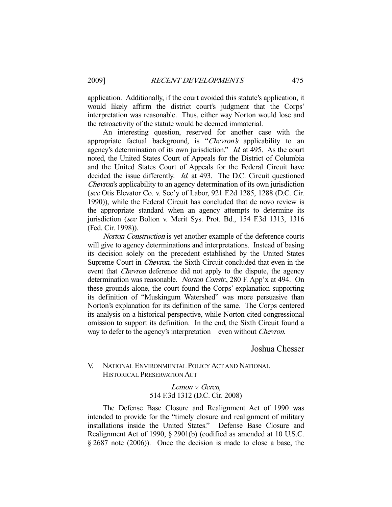application. Additionally, if the court avoided this statute's application, it would likely affirm the district court's judgment that the Corps' interpretation was reasonable. Thus, either way Norton would lose and the retroactivity of the statute would be deemed immaterial.

 An interesting question, reserved for another case with the appropriate factual background, is "Chevron's applicability to an agency's determination of its own jurisdiction." *Id.* at 495. As the court noted, the United States Court of Appeals for the District of Columbia and the United States Court of Appeals for the Federal Circuit have decided the issue differently. *Id.* at 493. The D.C. Circuit questioned Chevron's applicability to an agency determination of its own jurisdiction (see Otis Elevator Co. v. Sec'y of Labor, 921 F.2d 1285, 1288 (D.C. Cir. 1990)), while the Federal Circuit has concluded that de novo review is the appropriate standard when an agency attempts to determine its jurisdiction (see Bolton v. Merit Sys. Prot. Bd., 154 F.3d 1313, 1316 (Fed. Cir. 1998)).

Norton Construction is yet another example of the deference courts will give to agency determinations and interpretations. Instead of basing its decision solely on the precedent established by the United States Supreme Court in Chevron, the Sixth Circuit concluded that even in the event that *Chevron* deference did not apply to the dispute, the agency determination was reasonable. Norton Constr., 280 F. App'x at 494. On these grounds alone, the court found the Corps' explanation supporting its definition of "Muskingum Watershed" was more persuasive than Norton's explanation for its definition of the same. The Corps centered its analysis on a historical perspective, while Norton cited congressional omission to support its definition. In the end, the Sixth Circuit found a way to defer to the agency's interpretation—even without Chevron.

Joshua Chesser

# V. NATIONAL ENVIRONMENTAL POLICY ACT AND NATIONAL HISTORICAL PRESERVATION ACT

Lemon v. Geren, 514 F.3d 1312 (D.C. Cir. 2008)

 The Defense Base Closure and Realignment Act of 1990 was intended to provide for the "timely closure and realignment of military installations inside the United States." Defense Base Closure and Realignment Act of 1990, § 2901(b) (codified as amended at 10 U.S.C. § 2687 note (2006)). Once the decision is made to close a base, the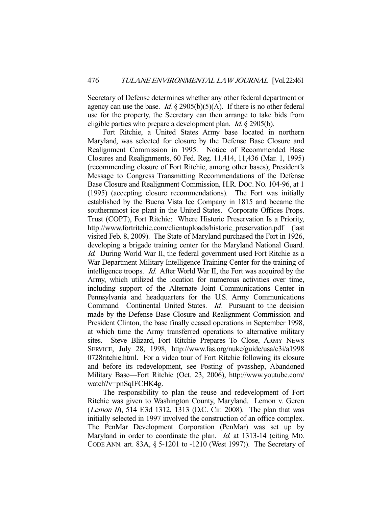Secretary of Defense determines whether any other federal department or agency can use the base. Id.  $\S$  2905(b)(5)(A). If there is no other federal use for the property, the Secretary can then arrange to take bids from eligible parties who prepare a development plan. Id. § 2905(b).

 Fort Ritchie, a United States Army base located in northern Maryland, was selected for closure by the Defense Base Closure and Realignment Commission in 1995. Notice of Recommended Base Closures and Realignments, 60 Fed. Reg. 11,414, 11,436 (Mar. 1, 1995) (recommending closure of Fort Ritchie, among other bases); President's Message to Congress Transmitting Recommendations of the Defense Base Closure and Realignment Commission, H.R. DOC. NO. 104-96, at 1 (1995) (accepting closure recommendations). The Fort was initially established by the Buena Vista Ice Company in 1815 and became the southernmost ice plant in the United States. Corporate Offices Props. Trust (COPT), Fort Ritchie: Where Historic Preservation Is a Priority, http://www.fortritchie.com/clientuploads/historic\_preservation.pdf (last visited Feb. 8, 2009). The State of Maryland purchased the Fort in 1926, developing a brigade training center for the Maryland National Guard. Id. During World War II, the federal government used Fort Ritchie as a War Department Military Intelligence Training Center for the training of intelligence troops. Id. After World War II, the Fort was acquired by the Army, which utilized the location for numerous activities over time, including support of the Alternate Joint Communications Center in Pennsylvania and headquarters for the U.S. Army Communications Command—Continental United States. Id. Pursuant to the decision made by the Defense Base Closure and Realignment Commission and President Clinton, the base finally ceased operations in September 1998, at which time the Army transferred operations to alternative military sites. Steve Blizard, Fort Ritchie Prepares To Close, ARMY NEWS SERVICE, July 28, 1998, http://www.fas.org/nuke/guide/usa/c3i/a1998 0728ritchie.html. For a video tour of Fort Ritchie following its closure and before its redevelopment, see Posting of pvasshep, Abandoned Military Base—Fort Ritchie (Oct. 23, 2006), http://www.youtube.com/ watch?v=pnSqIFCHK4g.

 The responsibility to plan the reuse and redevelopment of Fort Ritchie was given to Washington County, Maryland. Lemon v. Geren (*Lemon II*), 514 F.3d 1312, 1313 (D.C. Cir. 2008). The plan that was initially selected in 1997 involved the construction of an office complex. The PenMar Development Corporation (PenMar) was set up by Maryland in order to coordinate the plan. *Id.* at 1313-14 (citing MD. CODE ANN. art. 83A, § 5-1201 to -1210 (West 1997)). The Secretary of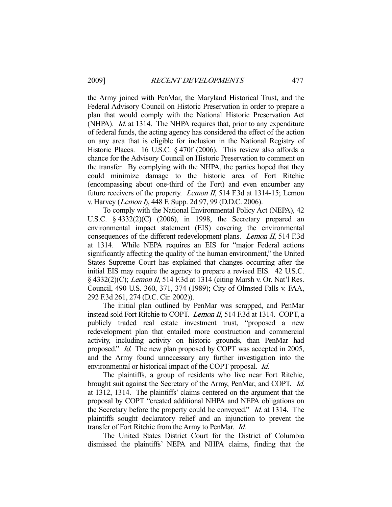the Army joined with PenMar, the Maryland Historical Trust, and the Federal Advisory Council on Historic Preservation in order to prepare a plan that would comply with the National Historic Preservation Act (NHPA). Id. at 1314. The NHPA requires that, prior to any expenditure of federal funds, the acting agency has considered the effect of the action on any area that is eligible for inclusion in the National Registry of Historic Places. 16 U.S.C. § 470f (2006). This review also affords a chance for the Advisory Council on Historic Preservation to comment on the transfer. By complying with the NHPA, the parties hoped that they could minimize damage to the historic area of Fort Ritchie (encompassing about one-third of the Fort) and even encumber any future receivers of the property. Lemon II, 514 F.3d at 1314-15; Lemon v. Harvey (Lemon I), 448 F. Supp. 2d 97, 99 (D.D.C. 2006).

 To comply with the National Environmental Policy Act (NEPA), 42 U.S.C. § 4332(2)(C) (2006), in 1998, the Secretary prepared an environmental impact statement (EIS) covering the environmental consequences of the different redevelopment plans. Lemon II, 514 F.3d at 1314. While NEPA requires an EIS for "major Federal actions significantly affecting the quality of the human environment," the United States Supreme Court has explained that changes occurring after the initial EIS may require the agency to prepare a revised EIS. 42 U.S.C. § 4332(2)(C); Lemon II, 514 F.3d at 1314 (citing Marsh v. Or. Nat'l Res. Council, 490 U.S. 360, 371, 374 (1989); City of Olmsted Falls v. FAA, 292 F.3d 261, 274 (D.C. Cir. 2002)).

 The initial plan outlined by PenMar was scrapped, and PenMar instead sold Fort Ritchie to COPT. Lemon II, 514 F.3d at 1314. COPT, a publicly traded real estate investment trust, "proposed a new redevelopment plan that entailed more construction and commercial activity, including activity on historic grounds, than PenMar had proposed." Id. The new plan proposed by COPT was accepted in 2005, and the Army found unnecessary any further investigation into the environmental or historical impact of the COPT proposal. Id.

 The plaintiffs, a group of residents who live near Fort Ritchie, brought suit against the Secretary of the Army, PenMar, and COPT. Id. at 1312, 1314. The plaintiffs' claims centered on the argument that the proposal by COPT "created additional NHPA and NEPA obligations on the Secretary before the property could be conveyed." Id. at 1314. The plaintiffs sought declaratory relief and an injunction to prevent the transfer of Fort Ritchie from the Army to PenMar. Id.

 The United States District Court for the District of Columbia dismissed the plaintiffs' NEPA and NHPA claims, finding that the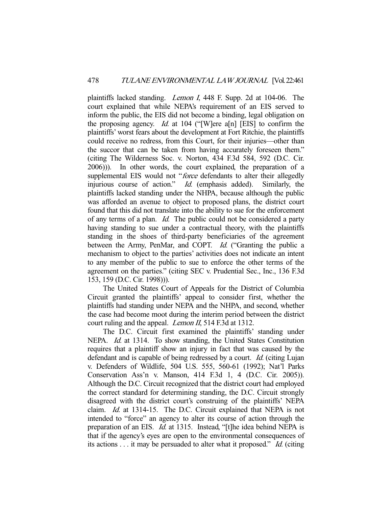plaintiffs lacked standing. Lemon I, 448 F. Supp. 2d at 104-06. The court explained that while NEPA's requirement of an EIS served to inform the public, the EIS did not become a binding, legal obligation on the proposing agency. *Id.* at 104 ("[W]ere a[n] [EIS] to confirm the plaintiffs' worst fears about the development at Fort Ritchie, the plaintiffs could receive no redress, from this Court, for their injuries—other than the succor that can be taken from having accurately foreseen them." (citing The Wilderness Soc. v. Norton, 434 F.3d 584, 592 (D.C. Cir. 2006))). In other words, the court explained, the preparation of a supplemental EIS would not "force defendants to alter their allegedly injurious course of action." Id. (emphasis added). Similarly, the plaintiffs lacked standing under the NHPA, because although the public was afforded an avenue to object to proposed plans, the district court found that this did not translate into the ability to sue for the enforcement of any terms of a plan. Id. The public could not be considered a party having standing to sue under a contractual theory, with the plaintiffs standing in the shoes of third-party beneficiaries of the agreement between the Army, PenMar, and COPT. *Id.* ("Granting the public a mechanism to object to the parties' activities does not indicate an intent to any member of the public to sue to enforce the other terms of the agreement on the parties." (citing SEC v. Prudential Sec., Inc., 136 F.3d 153, 159 (D.C. Cir. 1998))).

 The United States Court of Appeals for the District of Columbia Circuit granted the plaintiffs' appeal to consider first, whether the plaintiffs had standing under NEPA and the NHPA, and second, whether the case had become moot during the interim period between the district court ruling and the appeal. *Lemon II*, 514 F.3d at 1312.

 The D.C. Circuit first examined the plaintiffs' standing under NEPA. *Id.* at 1314. To show standing, the United States Constitution requires that a plaintiff show an injury in fact that was caused by the defendant and is capable of being redressed by a court. *Id.* (citing Lujan v. Defenders of Wildlife, 504 U.S. 555, 560-61 (1992); Nat'l Parks Conservation Ass'n v. Manson, 414 F.3d 1, 4 (D.C. Cir. 2005)). Although the D.C. Circuit recognized that the district court had employed the correct standard for determining standing, the D.C. Circuit strongly disagreed with the district court's construing of the plaintiffs' NEPA claim. Id. at 1314-15. The D.C. Circuit explained that NEPA is not intended to "force" an agency to alter its course of action through the preparation of an EIS. Id. at 1315. Instead, "[t]he idea behind NEPA is that if the agency's eyes are open to the environmental consequences of its actions . . . it may be persuaded to alter what it proposed." Id. (citing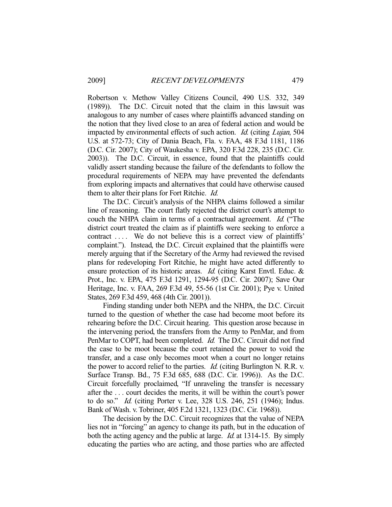Robertson v. Methow Valley Citizens Council, 490 U.S. 332, 349 (1989)). The D.C. Circuit noted that the claim in this lawsuit was analogous to any number of cases where plaintiffs advanced standing on the notion that they lived close to an area of federal action and would be impacted by environmental effects of such action. *Id.* (citing *Lujan*, 504 U.S. at 572-73; City of Dania Beach, Fla. v. FAA, 48 F.3d 1181, 1186 (D.C. Cir. 2007); City of Waukesha v. EPA, 320 F.3d 228, 235 (D.C. Cir. 2003)). The D.C. Circuit, in essence, found that the plaintiffs could validly assert standing because the failure of the defendants to follow the procedural requirements of NEPA may have prevented the defendants from exploring impacts and alternatives that could have otherwise caused them to alter their plans for Fort Ritchie. Id.

 The D.C. Circuit's analysis of the NHPA claims followed a similar line of reasoning. The court flatly rejected the district court's attempt to couch the NHPA claim in terms of a contractual agreement. Id. ("The district court treated the claim as if plaintiffs were seeking to enforce a contract .... We do not believe this is a correct view of plaintiffs' complaint."). Instead, the D.C. Circuit explained that the plaintiffs were merely arguing that if the Secretary of the Army had reviewed the revised plans for redeveloping Fort Ritchie, he might have acted differently to ensure protection of its historic areas. *Id.* (citing Karst Envtl. Educ. & Prot., Inc. v. EPA, 475 F.3d 1291, 1294-95 (D.C. Cir. 2007); Save Our Heritage, Inc. v. FAA, 269 F.3d 49, 55-56 (1st Cir. 2001); Pye v. United States, 269 F.3d 459, 468 (4th Cir. 2001)).

 Finding standing under both NEPA and the NHPA, the D.C. Circuit turned to the question of whether the case had become moot before its rehearing before the D.C. Circuit hearing. This question arose because in the intervening period, the transfers from the Army to PenMar, and from PenMar to COPT, had been completed. *Id.* The D.C. Circuit did not find the case to be moot because the court retained the power to void the transfer, and a case only becomes moot when a court no longer retains the power to accord relief to the parties. *Id.* (citing Burlington N. R.R. v. Surface Transp. Bd., 75 F.3d 685, 688 (D.C. Cir. 1996)). As the D.C. Circuit forcefully proclaimed, "If unraveling the transfer is necessary after the . . . court decides the merits, it will be within the court's power to do so." Id. (citing Porter v. Lee, 328 U.S. 246, 251 (1946); Indus. Bank of Wash. v. Tobriner, 405 F.2d 1321, 1323 (D.C. Cir. 1968)).

 The decision by the D.C. Circuit recognizes that the value of NEPA lies not in "forcing" an agency to change its path, but in the education of both the acting agency and the public at large. *Id.* at 1314-15. By simply educating the parties who are acting, and those parties who are affected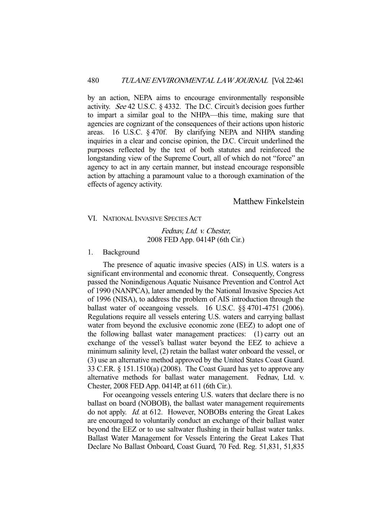by an action, NEPA aims to encourage environmentally responsible activity. See 42 U.S.C. § 4332. The D.C. Circuit's decision goes further to impart a similar goal to the NHPA—this time, making sure that agencies are cognizant of the consequences of their actions upon historic areas. 16 U.S.C. § 470f. By clarifying NEPA and NHPA standing inquiries in a clear and concise opinion, the D.C. Circuit underlined the purposes reflected by the text of both statutes and reinforced the longstanding view of the Supreme Court, all of which do not "force" an agency to act in any certain manner, but instead encourage responsible action by attaching a paramount value to a thorough examination of the effects of agency activity.

Matthew Finkelstein

VI. NATIONAL INVASIVE SPECIES ACT

Fednav, Ltd. v. Chester, 2008 FED App. 0414P (6th Cir.)

#### 1. Background

 The presence of aquatic invasive species (AIS) in U.S. waters is a significant environmental and economic threat. Consequently, Congress passed the Nonindigenous Aquatic Nuisance Prevention and Control Act of 1990 (NANPCA), later amended by the National Invasive Species Act of 1996 (NISA), to address the problem of AIS introduction through the ballast water of oceangoing vessels. 16 U.S.C. §§ 4701-4751 (2006). Regulations require all vessels entering U.S. waters and carrying ballast water from beyond the exclusive economic zone (EEZ) to adopt one of the following ballast water management practices: (1) carry out an exchange of the vessel's ballast water beyond the EEZ to achieve a minimum salinity level, (2) retain the ballast water onboard the vessel, or (3) use an alternative method approved by the United States Coast Guard. 33 C.F.R. § 151.1510(a) (2008). The Coast Guard has yet to approve any alternative methods for ballast water management. Fednav, Ltd. v. Chester, 2008 FED App. 0414P, at 611 (6th Cir.).

 For oceangoing vessels entering U.S. waters that declare there is no ballast on board (NOBOB), the ballast water management requirements do not apply. *Id.* at 612. However, NOBOBs entering the Great Lakes are encouraged to voluntarily conduct an exchange of their ballast water beyond the EEZ or to use saltwater flushing in their ballast water tanks. Ballast Water Management for Vessels Entering the Great Lakes That Declare No Ballast Onboard, Coast Guard, 70 Fed. Reg. 51,831, 51,835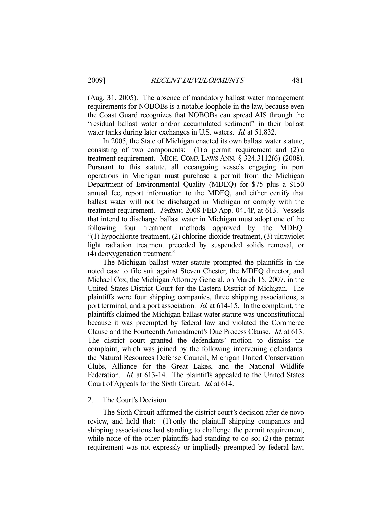(Aug. 31, 2005). The absence of mandatory ballast water management requirements for NOBOBs is a notable loophole in the law, because even the Coast Guard recognizes that NOBOBs can spread AIS through the "residual ballast water and/or accumulated sediment" in their ballast water tanks during later exchanges in U.S. waters. *Id.* at 51,832.

 In 2005, the State of Michigan enacted its own ballast water statute, consisting of two components: (1) a permit requirement and (2) a treatment requirement. MICH. COMP. LAWS ANN. § 324.3112(6) (2008). Pursuant to this statute, all oceangoing vessels engaging in port operations in Michigan must purchase a permit from the Michigan Department of Environmental Quality (MDEQ) for \$75 plus a \$150 annual fee, report information to the MDEQ, and either certify that ballast water will not be discharged in Michigan or comply with the treatment requirement. Fednav, 2008 FED App. 0414P, at 613. Vessels that intend to discharge ballast water in Michigan must adopt one of the following four treatment methods approved by the MDEQ: "(1) hypochlorite treatment, (2) chlorine dioxide treatment, (3) ultraviolet light radiation treatment preceded by suspended solids removal, or (4) deoxygenation treatment."

 The Michigan ballast water statute prompted the plaintiffs in the noted case to file suit against Steven Chester, the MDEQ director, and Michael Cox, the Michigan Attorney General, on March 15, 2007, in the United States District Court for the Eastern District of Michigan. The plaintiffs were four shipping companies, three shipping associations, a port terminal, and a port association. *Id.* at 614-15. In the complaint, the plaintiffs claimed the Michigan ballast water statute was unconstitutional because it was preempted by federal law and violated the Commerce Clause and the Fourteenth Amendment's Due Process Clause. Id. at 613. The district court granted the defendants' motion to dismiss the complaint, which was joined by the following intervening defendants: the Natural Resources Defense Council, Michigan United Conservation Clubs, Alliance for the Great Lakes, and the National Wildlife Federation. *Id.* at 613-14. The plaintiffs appealed to the United States Court of Appeals for the Sixth Circuit. Id. at 614.

## 2. The Court's Decision

 The Sixth Circuit affirmed the district court's decision after de novo review, and held that: (1) only the plaintiff shipping companies and shipping associations had standing to challenge the permit requirement, while none of the other plaintiffs had standing to do so; (2) the permit requirement was not expressly or impliedly preempted by federal law;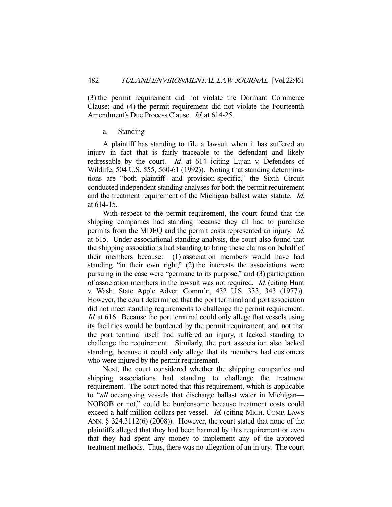(3) the permit requirement did not violate the Dormant Commerce Clause; and (4) the permit requirement did not violate the Fourteenth Amendment's Due Process Clause. *Id.* at 614-25.

#### a. Standing

 A plaintiff has standing to file a lawsuit when it has suffered an injury in fact that is fairly traceable to the defendant and likely redressable by the court. *Id.* at 614 (citing Lujan v. Defenders of Wildlife, 504 U.S. 555, 560-61 (1992)). Noting that standing determinations are "both plaintiff- and provision-specific," the Sixth Circuit conducted independent standing analyses for both the permit requirement and the treatment requirement of the Michigan ballast water statute. Id. at 614-15.

 With respect to the permit requirement, the court found that the shipping companies had standing because they all had to purchase permits from the MDEQ and the permit costs represented an injury. Id. at 615. Under associational standing analysis, the court also found that the shipping associations had standing to bring these claims on behalf of their members because: (1) association members would have had standing "in their own right," (2) the interests the associations were pursuing in the case were "germane to its purpose," and (3) participation of association members in the lawsuit was not required. Id. (citing Hunt v. Wash. State Apple Adver. Comm'n, 432 U.S. 333, 343 (1977)). However, the court determined that the port terminal and port association did not meet standing requirements to challenge the permit requirement. Id. at 616. Because the port terminal could only allege that vessels using its facilities would be burdened by the permit requirement, and not that the port terminal itself had suffered an injury, it lacked standing to challenge the requirement. Similarly, the port association also lacked standing, because it could only allege that its members had customers who were injured by the permit requirement.

 Next, the court considered whether the shipping companies and shipping associations had standing to challenge the treatment requirement. The court noted that this requirement, which is applicable to "*all* oceangoing vessels that discharge ballast water in Michigan— NOBOB or not," could be burdensome because treatment costs could exceed a half-million dollars per vessel. *Id.* (citing MICH. COMP. LAWS ANN. § 324.3112(6) (2008)). However, the court stated that none of the plaintiffs alleged that they had been harmed by this requirement or even that they had spent any money to implement any of the approved treatment methods. Thus, there was no allegation of an injury. The court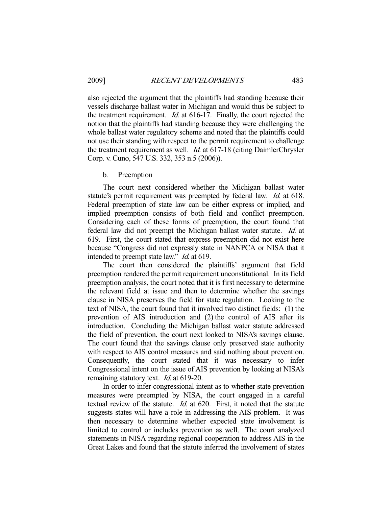also rejected the argument that the plaintiffs had standing because their vessels discharge ballast water in Michigan and would thus be subject to the treatment requirement. Id. at 616-17. Finally, the court rejected the notion that the plaintiffs had standing because they were challenging the whole ballast water regulatory scheme and noted that the plaintiffs could not use their standing with respect to the permit requirement to challenge the treatment requirement as well. Id. at 617-18 (citing DaimlerChrysler Corp. v. Cuno, 547 U.S. 332, 353 n.5 (2006)).

#### b. Preemption

 The court next considered whether the Michigan ballast water statute's permit requirement was preempted by federal law. *Id.* at 618. Federal preemption of state law can be either express or implied, and implied preemption consists of both field and conflict preemption. Considering each of these forms of preemption, the court found that federal law did not preempt the Michigan ballast water statute. Id. at 619. First, the court stated that express preemption did not exist here because "Congress did not expressly state in NANPCA or NISA that it intended to preempt state law." *Id.* at 619.

 The court then considered the plaintiffs' argument that field preemption rendered the permit requirement unconstitutional. In its field preemption analysis, the court noted that it is first necessary to determine the relevant field at issue and then to determine whether the savings clause in NISA preserves the field for state regulation. Looking to the text of NISA, the court found that it involved two distinct fields: (1) the prevention of AIS introduction and (2) the control of AIS after its introduction. Concluding the Michigan ballast water statute addressed the field of prevention, the court next looked to NISA's savings clause. The court found that the savings clause only preserved state authority with respect to AIS control measures and said nothing about prevention. Consequently, the court stated that it was necessary to infer Congressional intent on the issue of AIS prevention by looking at NISA's remaining statutory text. *Id.* at 619-20.

 In order to infer congressional intent as to whether state prevention measures were preempted by NISA, the court engaged in a careful textual review of the statute. *Id.* at 620. First, it noted that the statute suggests states will have a role in addressing the AIS problem. It was then necessary to determine whether expected state involvement is limited to control or includes prevention as well. The court analyzed statements in NISA regarding regional cooperation to address AIS in the Great Lakes and found that the statute inferred the involvement of states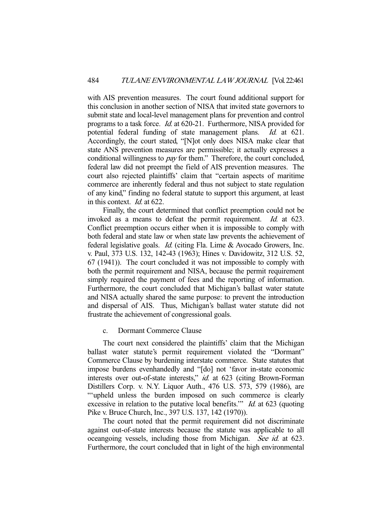with AIS prevention measures. The court found additional support for this conclusion in another section of NISA that invited state governors to submit state and local-level management plans for prevention and control programs to a task force. Id. at 620-21. Furthermore, NISA provided for potential federal funding of state management plans. Id. at 621. Accordingly, the court stated, "[N]ot only does NISA make clear that state ANS prevention measures are permissible; it actually expresses a conditional willingness to pay for them." Therefore, the court concluded, federal law did not preempt the field of AIS prevention measures. The court also rejected plaintiffs' claim that "certain aspects of maritime commerce are inherently federal and thus not subject to state regulation of any kind," finding no federal statute to support this argument, at least in this context. Id. at 622.

 Finally, the court determined that conflict preemption could not be invoked as a means to defeat the permit requirement. *Id.* at 623. Conflict preemption occurs either when it is impossible to comply with both federal and state law or when state law prevents the achievement of federal legislative goals. Id. (citing Fla. Lime & Avocado Growers, Inc. v. Paul, 373 U.S. 132, 142-43 (1963); Hines v. Davidowitz, 312 U.S. 52, 67 (1941)). The court concluded it was not impossible to comply with both the permit requirement and NISA, because the permit requirement simply required the payment of fees and the reporting of information. Furthermore, the court concluded that Michigan's ballast water statute and NISA actually shared the same purpose: to prevent the introduction and dispersal of AIS. Thus, Michigan's ballast water statute did not frustrate the achievement of congressional goals.

c. Dormant Commerce Clause

 The court next considered the plaintiffs' claim that the Michigan ballast water statute's permit requirement violated the "Dormant" Commerce Clause by burdening interstate commerce. State statutes that impose burdens evenhandedly and "[do] not 'favor in-state economic interests over out-of-state interests," *id.* at 623 (citing Brown-Forman Distillers Corp. v. N.Y. Liquor Auth., 476 U.S. 573, 579 (1986), are "'upheld unless the burden imposed on such commerce is clearly excessive in relation to the putative local benefits." *Id.* at 623 (quoting Pike v. Bruce Church, Inc., 397 U.S. 137, 142 (1970)).

 The court noted that the permit requirement did not discriminate against out-of-state interests because the statute was applicable to all oceangoing vessels, including those from Michigan. See id. at 623. Furthermore, the court concluded that in light of the high environmental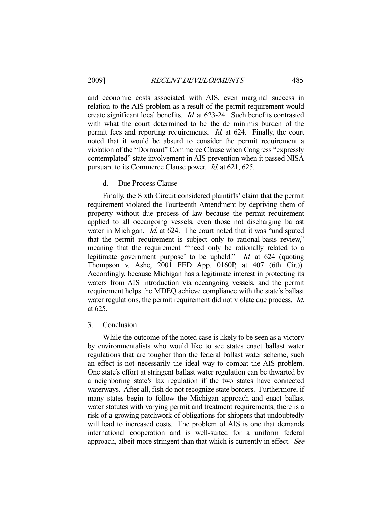and economic costs associated with AIS, even marginal success in relation to the AIS problem as a result of the permit requirement would create significant local benefits. Id. at 623-24. Such benefits contrasted with what the court determined to be the de minimis burden of the permit fees and reporting requirements. *Id.* at 624. Finally, the court noted that it would be absurd to consider the permit requirement a violation of the "Dormant" Commerce Clause when Congress "expressly contemplated" state involvement in AIS prevention when it passed NISA pursuant to its Commerce Clause power. Id. at 621, 625.

## d. Due Process Clause

 Finally, the Sixth Circuit considered plaintiffs' claim that the permit requirement violated the Fourteenth Amendment by depriving them of property without due process of law because the permit requirement applied to all oceangoing vessels, even those not discharging ballast water in Michigan. *Id.* at 624. The court noted that it was "undisputed that the permit requirement is subject only to rational-basis review," meaning that the requirement "'need only be rationally related to a legitimate government purpose' to be upheld." Id. at 624 (quoting Thompson v. Ashe, 2001 FED App. 0160P, at 407 (6th Cir.)). Accordingly, because Michigan has a legitimate interest in protecting its waters from AIS introduction via oceangoing vessels, and the permit requirement helps the MDEQ achieve compliance with the state's ballast water regulations, the permit requirement did not violate due process. *Id.* at 625.

#### 3. Conclusion

 While the outcome of the noted case is likely to be seen as a victory by environmentalists who would like to see states enact ballast water regulations that are tougher than the federal ballast water scheme, such an effect is not necessarily the ideal way to combat the AIS problem. One state's effort at stringent ballast water regulation can be thwarted by a neighboring state's lax regulation if the two states have connected waterways. After all, fish do not recognize state borders. Furthermore, if many states begin to follow the Michigan approach and enact ballast water statutes with varying permit and treatment requirements, there is a risk of a growing patchwork of obligations for shippers that undoubtedly will lead to increased costs. The problem of AIS is one that demands international cooperation and is well-suited for a uniform federal approach, albeit more stringent than that which is currently in effect. See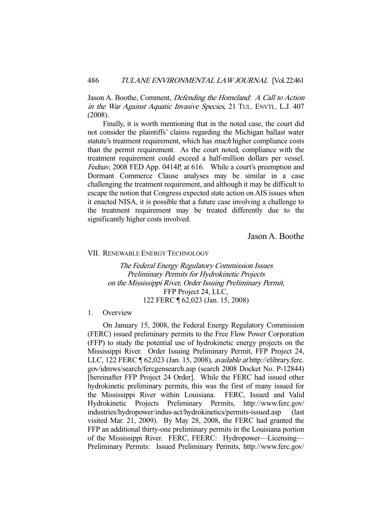Jason A. Boothe, Comment, Defending the Homeland: A Call to Action in the War Against Aquatic Invasive Species, 21 TUL. ENVTL. L.J. 407 (2008).

 Finally, it is worth mentioning that in the noted case, the court did not consider the plaintiffs' claims regarding the Michigan ballast water statute's treatment requirement, which has *much* higher compliance costs than the permit requirement. As the court noted, compliance with the treatment requirement could exceed a half-million dollars per vessel. Fednav, 2008 FED App. 0414P, at 616. While a court's preemption and Dormant Commerce Clause analyses may be similar in a case challenging the treatment requirement, and although it may be difficult to escape the notion that Congress expected state action on AIS issues when it enacted NISA, it is possible that a future case involving a challenge to the treatment requirement may be treated differently due to the significantly higher costs involved.

Jason A. Boothe

#### VII. RENEWABLE ENERGY TECHNOLOGY

The Federal Energy Regulatory Commission Issues Preliminary Permits for Hydrokinetic Projects on the Mississippi River, Order Issuing Preliminary Permit, FFP Project 24, LLC, 122 FERC ¶ 62,023 (Jan. 15, 2008)

### 1. Overview

 On January 15, 2008, the Federal Energy Regulatory Commission (FERC) issued preliminary permits to the Free Flow Power Corporation (FFP) to study the potential use of hydrokinetic energy projects on the Mississippi River. Order Issuing Preliminary Permit, FFP Project 24, LLC, 122 FERC ¶ 62,023 (Jan. 15, 2008), available at http://elibrary.ferc. gov/idmws/search/fercgensearch.asp (search 2008 Docket No. P-12844) [hereinafter FFP Project 24 Order]. While the FERC had issued other hydrokinetic preliminary permits, this was the first of many issued for the Mississippi River within Louisiana. FERC, Issued and Valid Hydrokinetic Projects Preliminary Permits, http://www.ferc.gov/ industries/hydropower/indus-act/hydrokinetics/permits-issued.asp (last visited Mar. 21, 2009). By May 28, 2008, the FERC had granted the FFP an additional thirty-one preliminary permits in the Louisiana portion of the Mississippi River. FERC, FEERC: Hydropower—Licensing— Preliminary Permits: Issued Preliminary Permits, http://www.ferc.gov/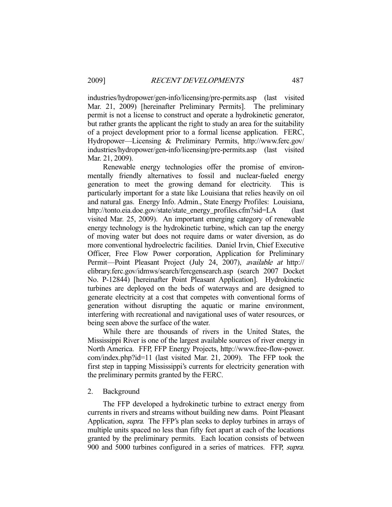industries/hydropower/gen-info/licensing/pre-permits.asp (last visited Mar. 21, 2009) [hereinafter Preliminary Permits]. The preliminary permit is not a license to construct and operate a hydrokinetic generator, but rather grants the applicant the right to study an area for the suitability of a project development prior to a formal license application. FERC, Hydropower—Licensing & Preliminary Permits, http://www.ferc.gov/ industries/hydropower/gen-info/licensing/pre-permits.asp (last visited Mar. 21, 2009).

 Renewable energy technologies offer the promise of environmentally friendly alternatives to fossil and nuclear-fueled energy generation to meet the growing demand for electricity. This is particularly important for a state like Louisiana that relies heavily on oil and natural gas. Energy Info. Admin., State Energy Profiles: Louisiana, http://tonto.eia.doe.gov/state/state\_energy\_profiles.cfm?sid=LA (last visited Mar. 25, 2009). An important emerging category of renewable energy technology is the hydrokinetic turbine, which can tap the energy of moving water but does not require dams or water diversion, as do more conventional hydroelectric facilities. Daniel Irvin, Chief Executive Officer, Free Flow Power corporation, Application for Preliminary Permit—Point Pleasant Project (July 24, 2007), available at http:// elibrary.ferc.gov/idmws/search/fercgensearch.asp (search 2007 Docket No. P-12844) [hereinafter Point Pleasant Application]. Hydrokinetic turbines are deployed on the beds of waterways and are designed to generate electricity at a cost that competes with conventional forms of generation without disrupting the aquatic or marine environment, interfering with recreational and navigational uses of water resources, or being seen above the surface of the water.

 While there are thousands of rivers in the United States, the Mississippi River is one of the largest available sources of river energy in North America. FFP, FFP Energy Projects, http://www.free-flow-power. com/index.php?id=11 (last visited Mar. 21, 2009). The FFP took the first step in tapping Mississippi's currents for electricity generation with the preliminary permits granted by the FERC.

#### 2. Background

 The FFP developed a hydrokinetic turbine to extract energy from currents in rivers and streams without building new dams. Point Pleasant Application, supra. The FFP's plan seeks to deploy turbines in arrays of multiple units spaced no less than fifty feet apart at each of the locations granted by the preliminary permits. Each location consists of between 900 and 5000 turbines configured in a series of matrices. FFP, supra.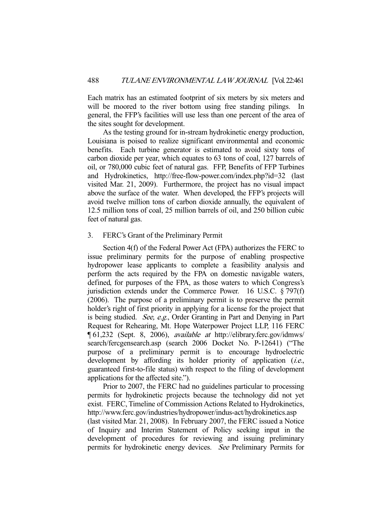Each matrix has an estimated footprint of six meters by six meters and will be moored to the river bottom using free standing pilings. In general, the FFP's facilities will use less than one percent of the area of the sites sought for development.

 As the testing ground for in-stream hydrokinetic energy production, Louisiana is poised to realize significant environmental and economic benefits. Each turbine generator is estimated to avoid sixty tons of carbon dioxide per year, which equates to 63 tons of coal, 127 barrels of oil, or 780,000 cubic feet of natural gas. FFP, Benefits of FFP Turbines and Hydrokinetics, http://free-flow-power.com/index.php?id=32 (last visited Mar. 21, 2009). Furthermore, the project has no visual impact above the surface of the water. When developed, the FFP's projects will avoid twelve million tons of carbon dioxide annually, the equivalent of 12.5 million tons of coal, 25 million barrels of oil, and 250 billion cubic feet of natural gas.

### 3. FERC's Grant of the Preliminary Permit

 Section 4(f) of the Federal Power Act (FPA) authorizes the FERC to issue preliminary permits for the purpose of enabling prospective hydropower lease applicants to complete a feasibility analysis and perform the acts required by the FPA on domestic navigable waters, defined, for purposes of the FPA, as those waters to which Congress's jurisdiction extends under the Commerce Power. 16 U.S.C. § 797(f) (2006). The purpose of a preliminary permit is to preserve the permit holder's right of first priority in applying for a license for the project that is being studied. See, e.g., Order Granting in Part and Denying in Part Request for Rehearing, Mt. Hope Waterpower Project LLP, 116 FERC ¶ 61,232 (Sept. 8, 2006), available at http://elibrary.ferc.gov/idmws/ search/fercgensearch.asp (search 2006 Docket No. P-12641) ("The purpose of a preliminary permit is to encourage hydroelectric development by affording its holder priority of application (*i.e.*, guaranteed first-to-file status) with respect to the filing of development applications for the affected site.").

 Prior to 2007, the FERC had no guidelines particular to processing permits for hydrokinetic projects because the technology did not yet exist. FERC, Timeline of Commission Actions Related to Hydrokinetics, http://www.ferc.gov/industries/hydropower/indus-act/hydrokinetics.asp (last visited Mar. 21, 2008). In February 2007, the FERC issued a Notice of Inquiry and Interim Statement of Policy seeking input in the development of procedures for reviewing and issuing preliminary permits for hydrokinetic energy devices. See Preliminary Permits for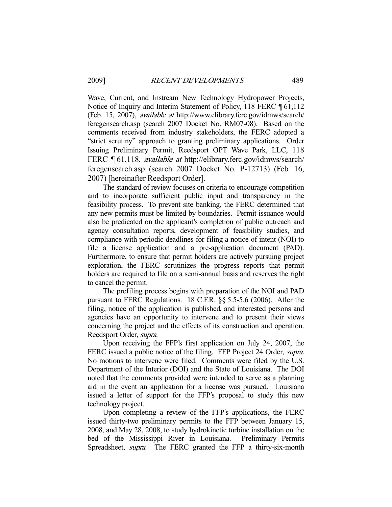Wave, Current, and Instream New Technology Hydropower Projects, Notice of Inquiry and Interim Statement of Policy, 118 FERC ¶ 61,112 (Feb. 15, 2007), available at http://www.elibrary.ferc.gov/idmws/search/ fercgensearch.asp (search 2007 Docket No. RM07-08). Based on the comments received from industry stakeholders, the FERC adopted a "strict scrutiny" approach to granting preliminary applications. Order Issuing Preliminary Permit, Reedsport OPT Wave Park, LLC, 118 FERC ¶ 61,118, *available at* http://elibrary.ferc.gov/idmws/search/ fercgensearch.asp (search 2007 Docket No. P-12713) (Feb. 16, 2007) [hereinafter Reedsport Order].

 The standard of review focuses on criteria to encourage competition and to incorporate sufficient public input and transparency in the feasibility process. To prevent site banking, the FERC determined that any new permits must be limited by boundaries. Permit issuance would also be predicated on the applicant's completion of public outreach and agency consultation reports, development of feasibility studies, and compliance with periodic deadlines for filing a notice of intent (NOI) to file a license application and a pre-application document (PAD). Furthermore, to ensure that permit holders are actively pursuing project exploration, the FERC scrutinizes the progress reports that permit holders are required to file on a semi-annual basis and reserves the right to cancel the permit.

 The prefiling process begins with preparation of the NOI and PAD pursuant to FERC Regulations. 18 C.F.R. §§ 5.5-5.6 (2006). After the filing, notice of the application is published, and interested persons and agencies have an opportunity to intervene and to present their views concerning the project and the effects of its construction and operation. Reedsport Order, supra.

 Upon receiving the FFP's first application on July 24, 2007, the FERC issued a public notice of the filing. FFP Project 24 Order, *supra*. No motions to intervene were filed. Comments were filed by the U.S. Department of the Interior (DOI) and the State of Louisiana. The DOI noted that the comments provided were intended to serve as a planning aid in the event an application for a license was pursued. Louisiana issued a letter of support for the FFP's proposal to study this new technology project.

 Upon completing a review of the FFP's applications, the FERC issued thirty-two preliminary permits to the FFP between January 15, 2008, and May 28, 2008, to study hydrokinetic turbine installation on the bed of the Mississippi River in Louisiana. Preliminary Permits Spreadsheet, *supra*. The FERC granted the FFP a thirty-six-month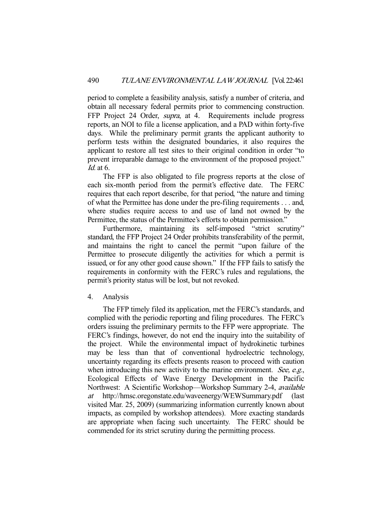period to complete a feasibility analysis, satisfy a number of criteria, and obtain all necessary federal permits prior to commencing construction. FFP Project 24 Order, *supra*, at 4. Requirements include progress reports, an NOI to file a license application, and a PAD within forty-five days. While the preliminary permit grants the applicant authority to perform tests within the designated boundaries, it also requires the applicant to restore all test sites to their original condition in order "to prevent irreparable damage to the environment of the proposed project." Id. at 6.

 The FFP is also obligated to file progress reports at the close of each six-month period from the permit's effective date. The FERC requires that each report describe, for that period, "the nature and timing of what the Permittee has done under the pre-filing requirements . . . and, where studies require access to and use of land not owned by the Permittee, the status of the Permittee's efforts to obtain permission."

Furthermore, maintaining its self-imposed "strict scrutiny" standard, the FFP Project 24 Order prohibits transferability of the permit, and maintains the right to cancel the permit "upon failure of the Permittee to prosecute diligently the activities for which a permit is issued, or for any other good cause shown." If the FFP fails to satisfy the requirements in conformity with the FERC's rules and regulations, the permit's priority status will be lost, but not revoked.

### 4. Analysis

 The FFP timely filed its application, met the FERC's standards, and complied with the periodic reporting and filing procedures. The FERC's orders issuing the preliminary permits to the FFP were appropriate. The FERC's findings, however, do not end the inquiry into the suitability of the project. While the environmental impact of hydrokinetic turbines may be less than that of conventional hydroelectric technology, uncertainty regarding its effects presents reason to proceed with caution when introducing this new activity to the marine environment. See, e.g., Ecological Effects of Wave Energy Development in the Pacific Northwest: A Scientific Workshop—Workshop Summary 2-4, available at http://hmsc.oregonstate.edu/waveenergy/WEWSummary.pdf (last visited Mar. 25, 2009) (summarizing information currently known about impacts, as compiled by workshop attendees). More exacting standards are appropriate when facing such uncertainty. The FERC should be commended for its strict scrutiny during the permitting process.